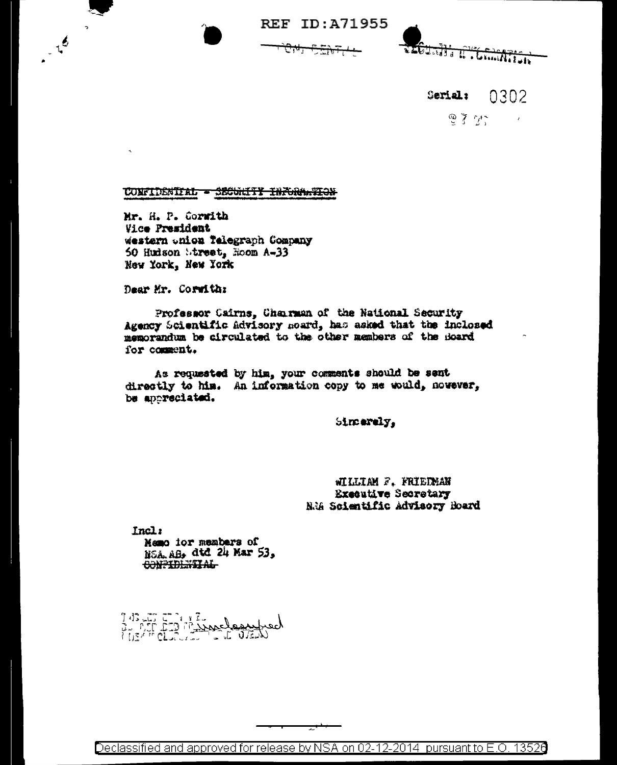**REF ID: A71955** 



0302 **Serial:** 

> 思子 ゲー  $\sim$   $t$

## CONFIDENTIAL - SECULTY INFORMATION

Mr. H. P. Corwith Vice President western onion Telegraph Company 50 Hudson Street, Room A-33 New York, New York

Dear Mr. Corwith:

 $\sim$ 

 $\begin{array}{c}\n\cdot & \sqrt{6}\n\end{array}$ 

Professor Cairns. Chairman of the National Security Agency Scientific Advisory moard, has asked that the inclosed memorandum be circulated to the other members of the Board for comment.

As requested by him, your comments should be sent directly to him. An information copy to me would, nowever, be appreciated.

Sincerely,

WILLIAM F. FRIEDMAN **Executive Secretary** N.W Scientific Advisory Board

Incl:

Mamo ior members of NSA AB, dtd 24 Mar 53. CONFIDENTIAL

743 LI IT 1472

Declassified and approved for release by NSA on 02-12-2014 pursuant to E.O. 13526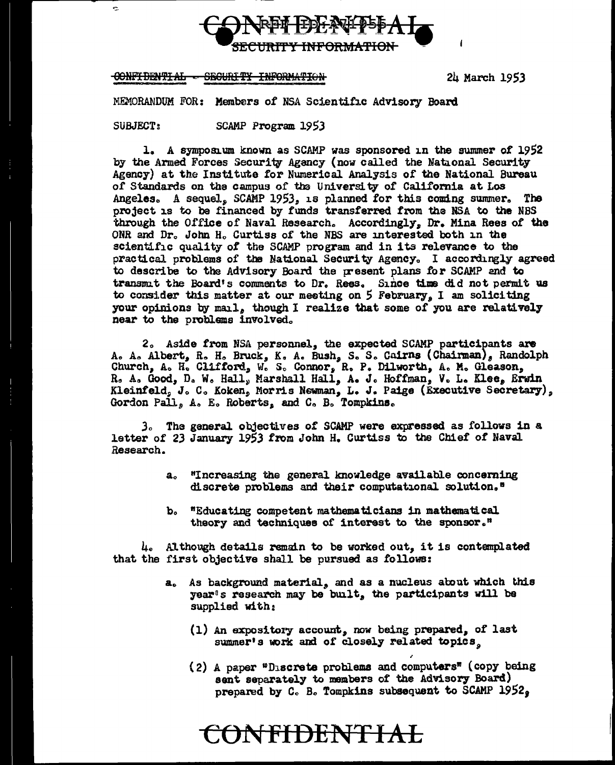

## CONFIDENTIAL - SECURITY INFORMATION

24 March 1953

MEMORANDUM FOR: Members of NSA Scientific Advisory Board

SUBJECT:

ċ.

SCAMP Program 1953

1. A symposium known as SCAMP was sponsored in the summer of 1952 by the Armed Forces Security Agency (now called the National Security Agency) at the Institute for Numerical Analysis of the National Bureau of Standards on the campus of the University of California at Los Angeles. A sequel, SCAMP 1953, is planned for this coming summer. The project is to be financed by funds transferred from the NSA to the NBS through the Office of Naval Research. Accordingly, Dr. Mina Rees of the ONR and Dr. John H. Curtiss of the NBS are interested both in the scientific quality of the SCAMP program and in its relevance to the practical problems of the National Security Agency. I accordingly agreed to describe to the Advisory Board the present plans for SCAMP and to transmit the Board's comments to Dr. Rees. Since time did not permit us to consider this matter at our meeting on 5 February, I am soliciting your opinions by mail, though I realize that some of you are relatively near to the problems involved.

2. Aside from NSA personnel, the expected SCAMP participants are A. A. Albert, R. H. Bruck, K. A. Bush, S. S. Cairns (Chairman), Randolph Church, A. H. Clifford, W. S. Connor, R. P. Dilworth, A. M. Gleason, R. A. Good, D. W. Hall, Marshall Hall, A. J. Hoffman, V. L. Klee, Erwin Kleinfeld, J. C. Koken, Morris Newman, L. J. Paige (Executive Secretary), Gordon Pall, A. E. Roberts, and C. B. Tompkins.

3. The general objectives of SCAMP were expressed as follows in a letter of 23 January 1953 from John H. Curtiss to the Chief of Naval Research.

- a. "Increasing the general knowledge available concerning discrete problems and their computational solution."
- b. "Educating competent mathematicians in mathematical theory and techniques of interest to the sponsor."

 $\mu_{o}$  Although details remain to be worked out, it is contemplated that the first objective shall be pursued as follows:

**CONFIDENTIAL** 

- a. As background material, and as a nucleus about which this year's research may be built, the participants will be supplied with:
	- (1) An expository account, now being prepared, of last summer's work and of closely related topics.
	- (2) A paper "Discrete problems and computers" (copy being sent separately to members of the Advisory Board) prepared by C. B. Tompkins subsequent to SCAMP 1952.